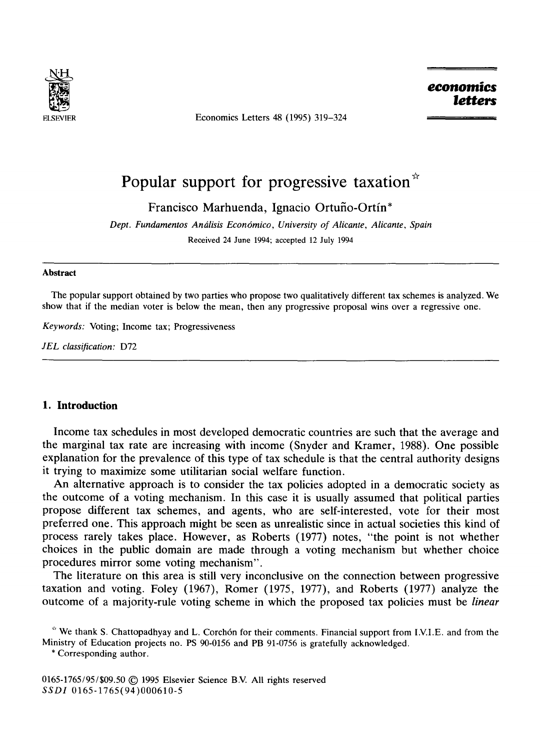

Economics Letters 48 (1995) 319-324

*economics letters* 

# **Popular support for progressive taxation"**

Francisco Marhuenda, Ignacio Ortuño-Ortín\*

*Dept. Fundamentos An6lisis Econ6mico, University of Alicante, Alicante, Spain*  Received 24 June 1994; accepted 12 July 1994

#### **Abstract**

The popular support obtained by two parties who propose two qualitatively different tax schemes is analyzed. We show that if the median voter is below the mean, then any progressive proposal wins over a regressive one.

*Keywords:* Voting; Income tax; Progressiveness

*JEL classification:* D72

## **1. Introduction**

Income tax schedules in most developed democratic countries are such that the average and the marginal tax rate are increasing with income (Snyder and Kramer, 1988). One possible explanation for the prevalence of this type of tax schedule is that the central authority designs it trying to maximize some utilitarian social welfare function.

An alternative approach is to consider the tax policies adopted in a democratic society as the outcome of a voting mechanism. In this case it is usually assumed that political parties propose different tax schemes, and agents, who are self-interested, vote for their most preferred one. This approach might be seen as unrealistic since in actual societies this kind of process rarely takes place. However, as Roberts (1977) notes, "the point is not whether choices in the public domain are made through a voting mechanism but whether choice procedures mirror some voting mechanism".

The literature on this area is still very inconclusive on the connection between progressive taxation and voting. Foley (1967), Romer (1975, 1977), and Roberts (1977) analyze the outcome of a majority-rule voting scheme in which the proposed tax policies must be *linear* 

\* Corresponding author.

0165-1765/95/\$09.50 © 1995 Elsevier Science B.V. All rights reserved *SSDI* 0165-1765(94)000610-5

<sup>\*</sup> We thank S. Chattopadhyay and L. Corchón for their comments. Financial support from I.V.I.E. and from the Ministry of Education projects no. PS 90-0156 and PB 91-0756 is gratefully acknowledged.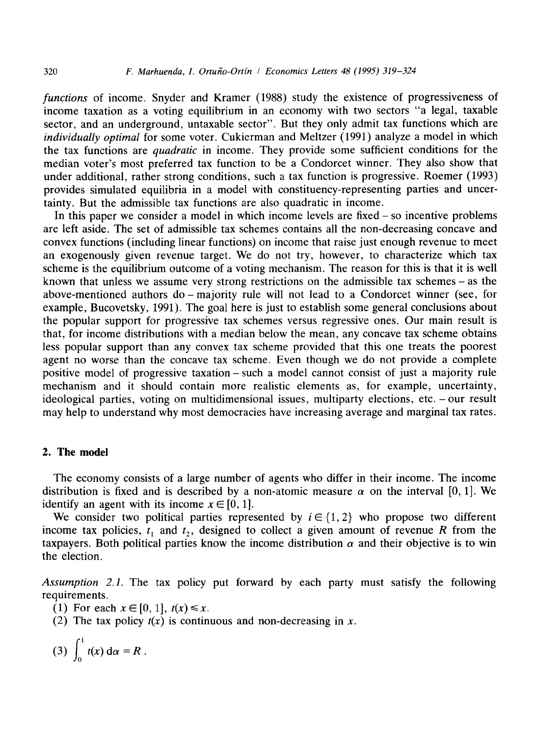*functions* of income. Snyder and Kramer (1988) study the existence of progressiveness of income taxation as a voting equilibrium in an economy with two sectors "a legal, taxable sector, and an underground, untaxable sector". But they only admit tax functions which are *individually optimal* for some voter. Cukierman and Meltzer (1991) analyze a model in which the tax functions are *quadratic* in income. They provide some sufficient conditions for the median voter's most preferred tax function to be a Condorcet winner. They also show that under additional, rather strong conditions, such a tax function is progressive. Roemer (1993) provides simulated equilibria in a model with constituency-representing parties and uncertainty. But the admissible tax functions are also quadratic in income.

In this paper we consider a model in which income levels are fixed- so incentive problems are left aside. The set of admissible tax schemes contains all the non-decreasing concave and convex functions (including linear functions) on income that raise just enough revenue to meet an exogenously given revenue target. We do not try, however, to characterize which tax scheme is the equilibrium outcome of a voting mechanism. The reason for this is that it is well known that unless we assume very strong restrictions on the admissible tax schemes-as the above-mentioned authors do- majority rule will not lead to a Condorcet winner (see, for example, Bucovetsky, 1991). The goal here is just to establish some general conclusions about the popular support for progressive tax schemes versus regressive ones. Our main result is that, for income distributions with a median below the mean, any concave tax scheme obtains less popular support than any convex tax scheme provided that this one treats the poorest agent no worse than the concave tax scheme. Even though we do not provide a complete positive model of progressive taxation-such a model cannot consist of just a majority rule mechanism and it should contain more realistic elements as, for example, uncertainty, ideological parties, voting on multidimensional issues, multiparty elections, etc. - our result may help to understand why most democracies have increasing average and marginal tax rates.

### **2. The model**

The economy consists of a large number of agents who differ in their income. The income distribution is fixed and is described by a non-atomic measure  $\alpha$  on the interval [0, 1]. We identify an agent with its income  $x \in [0, 1]$ .

We consider two political parties represented by  $i \in \{1, 2\}$  who propose two different income tax policies,  $t_1$  and  $t_2$ , designed to collect a given amount of revenue R from the taxpayers. Both political parties know the income distribution  $\alpha$  and their objective is to win the election.

*Assumption 2.1.* The tax policy put forward by each party must satisfy the following requirements.

- (1) For each  $x \in [0, 1]$ ,  $t(x) \le x$ .
- (2) The tax policy  $t(x)$  is continuous and non-decreasing in x.

$$
(3) \int_0^1 t(x) \, \mathrm{d} \alpha = R \, .
$$

÷.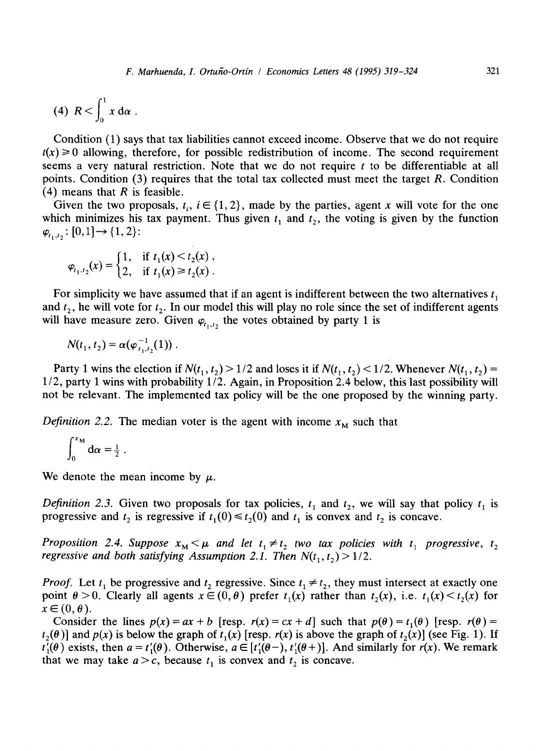$$
(4) \ \ R < \int_0^1 x \, \mathrm{d}\alpha \ .
$$

Condition (1) says that tax liabilities cannot exceed income. Observe that we do not require  $t(x) \ge 0$  allowing, therefore, for possible redistribution of income. The second requirement seems a very natural restriction. Note that we do not require t to be differentiable at all points. Condition (3) requires that the total tax collected must meet the target  $R$ . Condition (4) means that  $R$  is feasible.

Given the two proposals,  $t_i$ ,  $i \in \{1, 2\}$ , made by the parties, agent x will vote for the one which minimizes his tax payment. Thus given  $t_1$  and  $t_2$ , the voting is given by the function  $\varphi_{t_1,t_2} : [0,1] \rightarrow \{1,2\}$ :

$$
\varphi_{t_1,t_2}(x) = \begin{cases} 1, & \text{if } t_1(x) < t_2(x) \\ 2, & \text{if } t_1(x) \ge t_2(x) \end{cases}.
$$

For simplicity we have assumed that if an agent is indifferent between the two alternatives  $t_1$ and  $t_2$ , he will vote for  $t_2$ . In our model this will play no role since the set of indifferent agents will have measure zero. Given  $\varphi_{t_1,t_2}$  the votes obtained by party 1 is

 $N(t_1, t_2) = \alpha(\varphi_{t_1, t_2}^{-1}(1))$ .

Party 1 wins the election if  $N(t_1, t_2) > 1/2$  and loses it if  $N(t_1, t_2) < 1/2$ . Whenever  $N(t_1, t_2) =$ 1/2, party 1 wins with probability 1/2. Again, in Proposition 2.4 below, this last possibility will not be relevant. The implemented tax policy will be the one proposed by the winning party.

*Definition 2.2.* The median voter is the agent with income  $x_M$  such that

$$
\int_0^{x_{\rm M}} d\alpha = \frac{1}{2} \; .
$$

We denote the mean income by  $\mu$ .

*Definition 2.3.* Given two proposals for tax policies,  $t_1$  and  $t_2$ , we will say that policy  $t_1$  is progressive and  $t_2$  is regressive if  $t_1(0) \le t_2(0)$  and  $t_1$  is convex and  $t_2$  is concave.

*Proposition 2.4. Suppose*  $x_M < \mu$  *and let*  $t_1 \neq t_2$  *two tax policies with*  $t_1$  *progressive,*  $t_2$ *regressive and both satisfying Assumption 2.1. Then*  $N(t_1, t_2) > 1/2$ .

*Proof.* Let  $t_1$  be progressive and  $t_2$  regressive. Since  $t_1 \neq t_2$ , they must intersect at exactly one point  $\theta > 0$ . Clearly all agents  $x \in (0, \theta)$  prefer  $t_1(x)$  rather than  $t_2(x)$ , i.e.  $t_1(x) \le t_2(x)$  for  $x \in (0, \theta).$ 

Consider the lines  $p(x) = ax + b$  [resp.  $r(x) = cx + d$ ] such that  $p(\theta) = t_1(\theta)$  [resp.  $r(\theta) =$  $t_2(\theta)$  and  $p(x)$  is below the graph of  $t_1(x)$  [resp.  $r(x)$  is above the graph of  $t_2(x)$ ] (see Fig. 1). If  $t'_{1}(\theta)$  exists, then  $a = t'_{1}(\theta)$ . Otherwise,  $a \in [t'_{1}(\theta^{-}), t'_{1}(\theta^{+})]$ . And similarly for *r(x)*. We remark that we may take  $a > c$ , because  $t_1$  is convex and  $t_2$  is concave.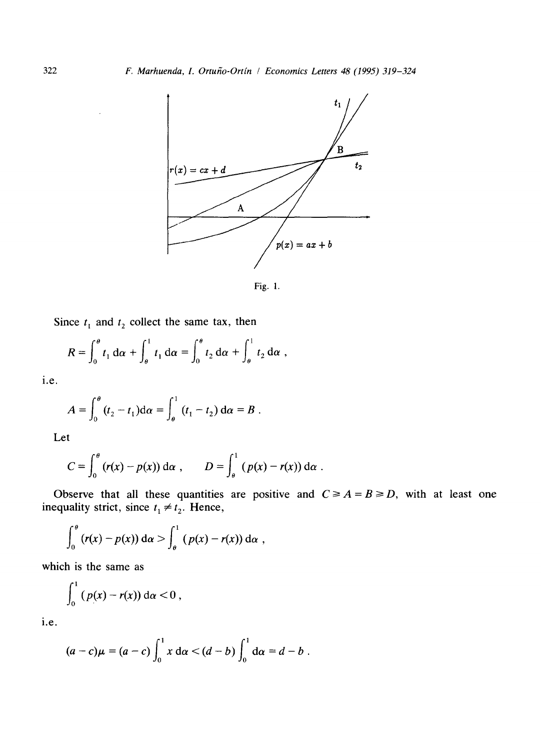

Fig. 1.

Since  $t_1$  and  $t_2$  collect the same tax, then

$$
R = \int_0^{\theta} t_1 \, d\alpha + \int_{\theta}^1 t_1 \, d\alpha = \int_0^{\theta} t_2 \, d\alpha + \int_{\theta}^1 t_2 \, d\alpha ,
$$

i.e.

$$
A = \int_0^{\theta} (t_2 - t_1) d\alpha = \int_{\theta}^1 (t_1 - t_2) d\alpha = B.
$$

Let

$$
C = \int_0^\theta (r(x) - p(x)) \, \mathrm{d}\alpha \, , \qquad D = \int_\theta^1 (p(x) - r(x)) \, \mathrm{d}\alpha \, .
$$

Observe that all these quantities are positive and inequality strict, since  $t_1 \neq t_2$ . Hence,  $C \geq A = B \geq D$ , with at least one

$$
\int_0^\theta (r(x)-p(x))\,\mathrm{d}\alpha > \int_\theta^1 (p(x)-r(x))\,\mathrm{d}\alpha \ ,
$$

which is the same as

$$
\int_0^1 (p(x)-r(x))\,\mathrm{d}\alpha<0\,,
$$

i.e.

$$
(a-c)\mu = (a-c)\int_0^1 x \, d\alpha < (d-b)\int_0^1 d\alpha = d-b.
$$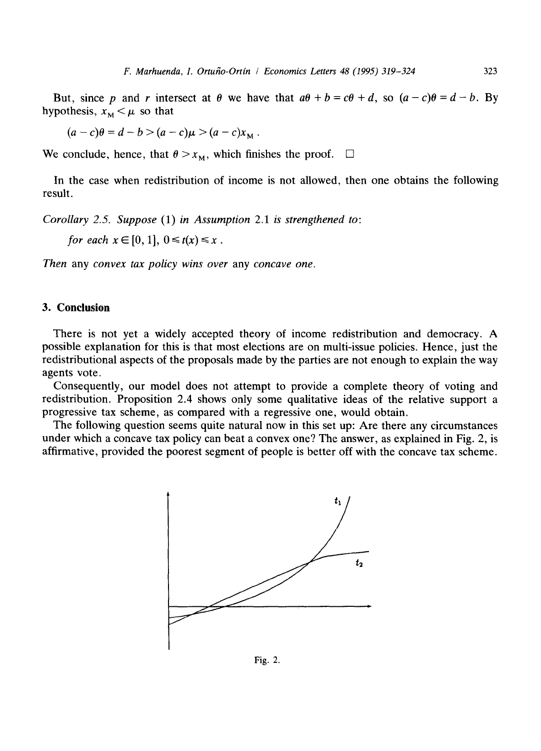But, since p and r intersect at  $\theta$  we have that  $a\theta + b = c\theta + d$ , so  $(a-c)\theta = d-b$ . By hypothesis,  $x_M < \mu$  so that

 $(a-c)\theta = d - b > (a-c)\mu > (a-c)x_{\text{M}}$ .

We conclude, hence, that  $\theta > x_{\text{M}}$ , which finishes the proof.  $\Box$ 

In the case when redistribution of income is not allowed, then one obtains the following result.

*Corollary 2.5. Suppose* (1) *in Assumption* 2.1 *is strengthened to:* 

*for each*  $x \in [0, 1]$ ,  $0 \le t(x) \le x$ .

*Then* any *convex tax policy wins over* any *concave one.* 

## **3. Conclusion**

There is not yet a widely accepted theory of income redistribution and democracy. A possible explanation for this is that most elections are on multi-issue policies. Hence, just the redistributional aspects of the proposals made by the parties are not enough to explain the way agents vote.

Consequently, our model does not attempt to provide a complete theory of voting and redistribution. Proposition 2.4 shows only some qualitative ideas of the relative support a progressive tax scheme, as compared with a regressive one, would obtain.

The following question seems quite natural now in this set up: Are there any circumstances under which a concave tax policy can beat a convex one? The answer, as explained in Fig. 2, is affirmative, provided the poorest segment of people is better off with the concave tax scheme.



Fig. 2.